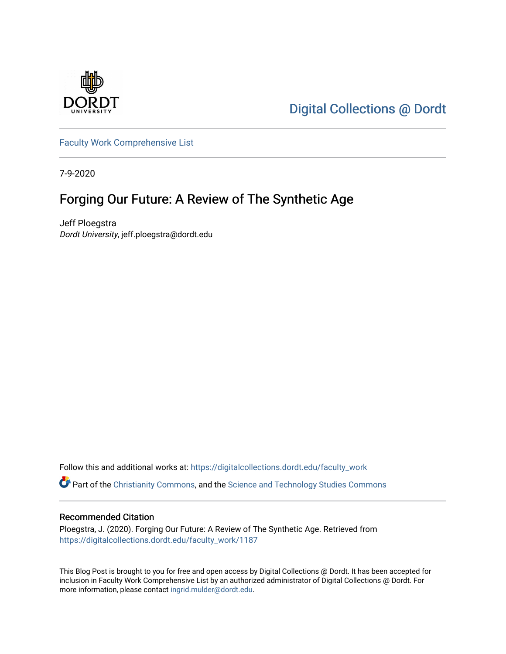

[Digital Collections @ Dordt](https://digitalcollections.dordt.edu/) 

[Faculty Work Comprehensive List](https://digitalcollections.dordt.edu/faculty_work)

7-9-2020

## Forging Our Future: A Review of The Synthetic Age

Jeff Ploegstra Dordt University, jeff.ploegstra@dordt.edu

Follow this and additional works at: [https://digitalcollections.dordt.edu/faculty\\_work](https://digitalcollections.dordt.edu/faculty_work?utm_source=digitalcollections.dordt.edu%2Ffaculty_work%2F1187&utm_medium=PDF&utm_campaign=PDFCoverPages) 

Part of the [Christianity Commons,](http://network.bepress.com/hgg/discipline/1181?utm_source=digitalcollections.dordt.edu%2Ffaculty_work%2F1187&utm_medium=PDF&utm_campaign=PDFCoverPages) and the [Science and Technology Studies Commons](http://network.bepress.com/hgg/discipline/435?utm_source=digitalcollections.dordt.edu%2Ffaculty_work%2F1187&utm_medium=PDF&utm_campaign=PDFCoverPages) 

#### Recommended Citation

Ploegstra, J. (2020). Forging Our Future: A Review of The Synthetic Age. Retrieved from [https://digitalcollections.dordt.edu/faculty\\_work/1187](https://digitalcollections.dordt.edu/faculty_work/1187?utm_source=digitalcollections.dordt.edu%2Ffaculty_work%2F1187&utm_medium=PDF&utm_campaign=PDFCoverPages)

This Blog Post is brought to you for free and open access by Digital Collections @ Dordt. It has been accepted for inclusion in Faculty Work Comprehensive List by an authorized administrator of Digital Collections @ Dordt. For more information, please contact [ingrid.mulder@dordt.edu.](mailto:ingrid.mulder@dordt.edu)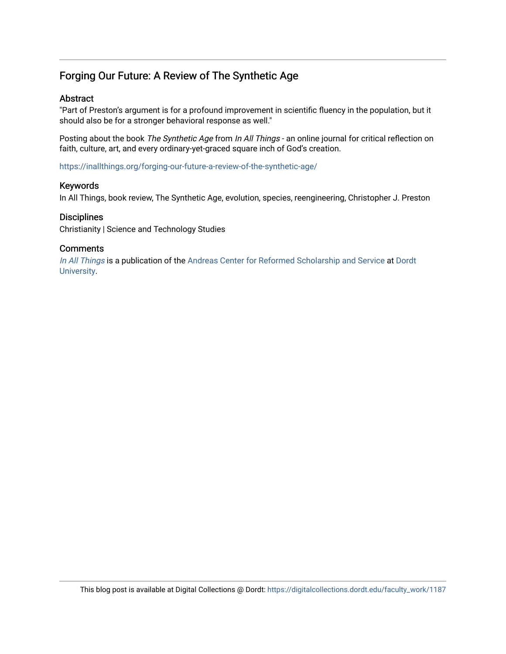### Forging Our Future: A Review of The Synthetic Age

#### Abstract

"Part of Preston's argument is for a profound improvement in scientific fluency in the population, but it should also be for a stronger behavioral response as well."

Posting about the book The Synthetic Age from In All Things - an online journal for critical reflection on faith, culture, art, and every ordinary-yet-graced square inch of God's creation.

<https://inallthings.org/forging-our-future-a-review-of-the-synthetic-age/>

#### Keywords

In All Things, book review, The Synthetic Age, evolution, species, reengineering, Christopher J. Preston

#### **Disciplines**

Christianity | Science and Technology Studies

#### **Comments**

[In All Things](http://inallthings.org/) is a publication of the [Andreas Center for Reformed Scholarship and Service](http://www.dordt.edu/services_support/andreas_center/) at Dordt [University](http://www.dordt.edu/).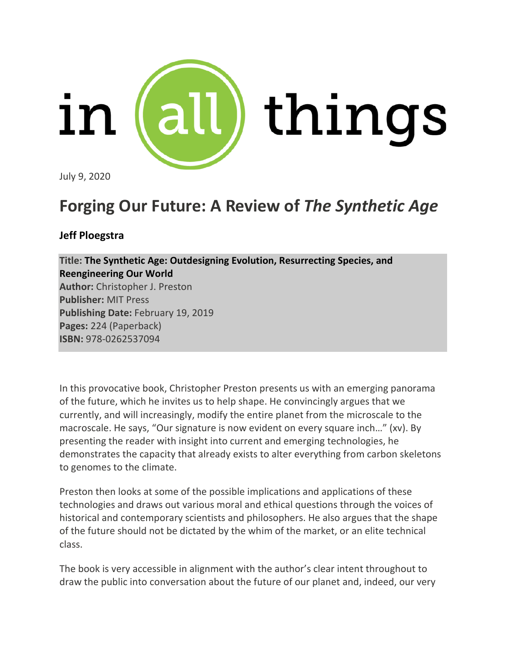

July 9, 2020

# **Forging Our Future: A Review of** *The Synthetic Age*

## **Jeff Ploegstra**

**Title: The Synthetic Age: Outdesigning Evolution, Resurrecting Species, and Reengineering Our World Author:** Christopher J. Preston **Publisher:** MIT Press **Publishing Date:** February 19, 2019 **Pages:** 224 (Paperback) **ISBN:** 978-0262537094

In this provocative book, Christopher Preston presents us with an emerging panorama of the future, which he invites us to help shape. He convincingly argues that we currently, and will increasingly, modify the entire planet from the microscale to the macroscale. He says, "Our signature is now evident on every square inch…" (xv). By presenting the reader with insight into current and emerging technologies, he demonstrates the capacity that already exists to alter everything from carbon skeletons to genomes to the climate.

Preston then looks at some of the possible implications and applications of these technologies and draws out various moral and ethical questions through the voices of historical and contemporary scientists and philosophers. He also argues that the shape of the future should not be dictated by the whim of the market, or an elite technical class.

The book is very accessible in alignment with the author's clear intent throughout to draw the public into conversation about the future of our planet and, indeed, our very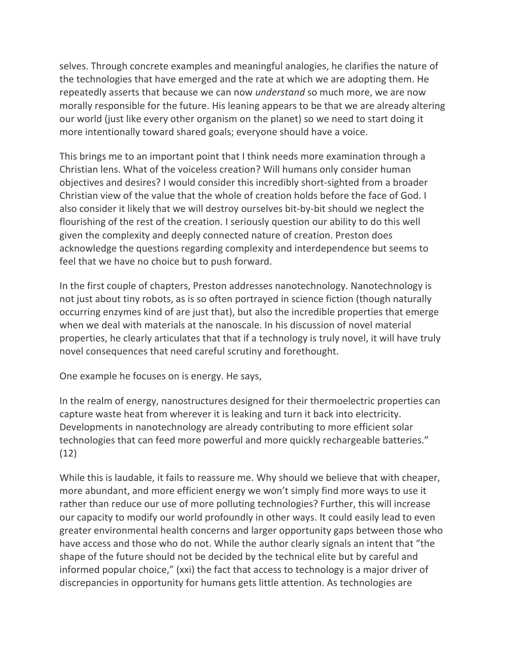selves. Through concrete examples and meaningful analogies, he clarifies the nature of the technologies that have emerged and the rate at which we are adopting them. He repeatedly asserts that because we can now *understand* so much more, we are now morally responsible for the future. His leaning appears to be that we are already altering our world (just like every other organism on the planet) so we need to start doing it more intentionally toward shared goals; everyone should have a voice.

This brings me to an important point that I think needs more examination through a Christian lens. What of the voiceless creation? Will humans only consider human objectives and desires? I would consider this incredibly short-sighted from a broader Christian view of the value that the whole of creation holds before the face of God. I also consider it likely that we will destroy ourselves bit-by-bit should we neglect the flourishing of the rest of the creation. I seriously question our ability to do this well given the complexity and deeply connected nature of creation. Preston does acknowledge the questions regarding complexity and interdependence but seems to feel that we have no choice but to push forward.

In the first couple of chapters, Preston addresses nanotechnology. Nanotechnology is not just about tiny robots, as is so often portrayed in science fiction (though naturally occurring enzymes kind of are just that), but also the incredible properties that emerge when we deal with materials at the nanoscale. In his discussion of novel material properties, he clearly articulates that that if a technology is truly novel, it will have truly novel consequences that need careful scrutiny and forethought.

One example he focuses on is energy. He says,

In the realm of energy, nanostructures designed for their thermoelectric properties can capture waste heat from wherever it is leaking and turn it back into electricity. Developments in nanotechnology are already contributing to more efficient solar technologies that can feed more powerful and more quickly rechargeable batteries." (12)

While this is laudable, it fails to reassure me. Why should we believe that with cheaper, more abundant, and more efficient energy we won't simply find more ways to use it rather than reduce our use of more polluting technologies? Further, this will increase our capacity to modify our world profoundly in other ways. It could easily lead to even greater environmental health concerns and larger opportunity gaps between those who have access and those who do not. While the author clearly signals an intent that "the shape of the future should not be decided by the technical elite but by careful and informed popular choice," (xxi) the fact that access to technology is a major driver of discrepancies in opportunity for humans gets little attention. As technologies are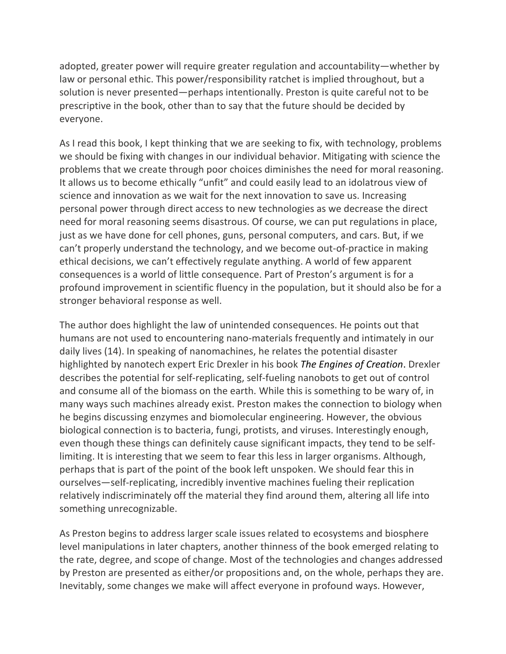adopted, greater power will require greater regulation and accountability—whether by law or personal ethic. This power/responsibility ratchet is implied throughout, but a solution is never presented—perhaps intentionally. Preston is quite careful not to be prescriptive in the book, other than to say that the future should be decided by everyone.

As I read this book, I kept thinking that we are seeking to fix, with technology, problems we should be fixing with changes in our individual behavior. Mitigating with science the problems that we create through poor choices diminishes the need for moral reasoning. It allows us to become ethically "unfit" and could easily lead to an idolatrous view of science and innovation as we wait for the next innovation to save us. Increasing personal power through direct access to new technologies as we decrease the direct need for moral reasoning seems disastrous. Of course, we can put regulations in place, just as we have done for cell phones, guns, personal computers, and cars. But, if we can't properly understand the technology, and we become out-of-practice in making ethical decisions, we can't effectively regulate anything. A world of few apparent consequences is a world of little consequence. Part of Preston's argument is for a profound improvement in scientific fluency in the population, but it should also be for a stronger behavioral response as well.

The author does highlight the law of unintended consequences. He points out that humans are not used to encountering nano-materials frequently and intimately in our daily lives (14). In speaking of nanomachines, he relates the potential disaster highlighted by nanotech expert Eric Drexler in his book *The Engines of Creation*. Drexler describes the potential for self-replicating, self-fueling nanobots to get out of control and consume all of the biomass on the earth. While this is something to be wary of, in many ways such machines already exist. Preston makes the connection to biology when he begins discussing enzymes and biomolecular engineering. However, the obvious biological connection is to bacteria, fungi, protists, and viruses. Interestingly enough, even though these things can definitely cause significant impacts, they tend to be selflimiting. It is interesting that we seem to fear this less in larger organisms. Although, perhaps that is part of the point of the book left unspoken. We should fear this in ourselves—self-replicating, incredibly inventive machines fueling their replication relatively indiscriminately off the material they find around them, altering all life into something unrecognizable.

As Preston begins to address larger scale issues related to ecosystems and biosphere level manipulations in later chapters, another thinness of the book emerged relating to the rate, degree, and scope of change. Most of the technologies and changes addressed by Preston are presented as either/or propositions and, on the whole, perhaps they are. Inevitably, some changes we make will affect everyone in profound ways. However,